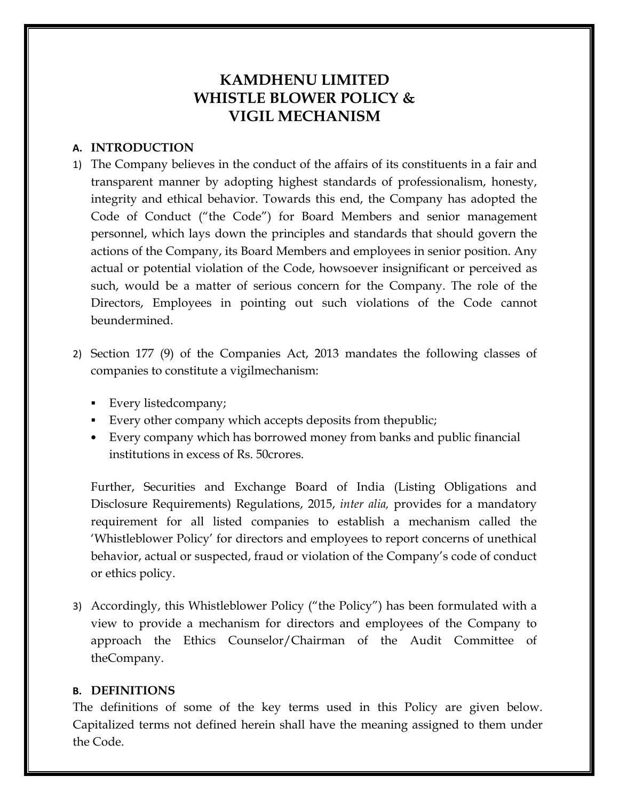# **KAMDHENU LIMITED WHISTLE BLOWER POLICY & VIGIL MECHANISM**

# **A. INTRODUCTION**

- 1) The Company believes in the conduct of the affairs of its constituents in a fair and transparent manner by adopting highest standards of professionalism, honesty, integrity and ethical behavior. Towards this end, the Company has adopted the Code of Conduct ("the Code") for Board Members and senior management personnel, which lays down the principles and standards that should govern the actions of the Company, its Board Members and employees in senior position. Any actual or potential violation of the Code, howsoever insignificant or perceived as such, would be a matter of serious concern for the Company. The role of the Directors, Employees in pointing out such violations of the Code cannot beundermined.
- 2) Section 177 (9) of the Companies Act, 2013 mandates the following classes of companies to constitute a vigilmechanism:
	- Every listedcompany;
	- Every other company which accepts deposits from thepublic;
	- Every company which has borrowed money from banks and public financial institutions in excess of Rs. 50crores.

Further, Securities and Exchange Board of India (Listing Obligations and Disclosure Requirements) Regulations, 2015, *inter alia,* provides for a mandatory requirement for all listed companies to establish a mechanism called the 'Whistleblower Policy' for directors and employees to report concerns of unethical behavior, actual or suspected, fraud or violation of the Company's code of conduct or ethics policy.

3) Accordingly, this Whistleblower Policy ("the Policy") has been formulated with a view to provide a mechanism for directors and employees of the Company to approach the Ethics Counselor/Chairman of the Audit Committee of theCompany.

### **B. DEFINITIONS**

The definitions of some of the key terms used in this Policy are given below. Capitalized terms not defined herein shall have the meaning assigned to them under the Code.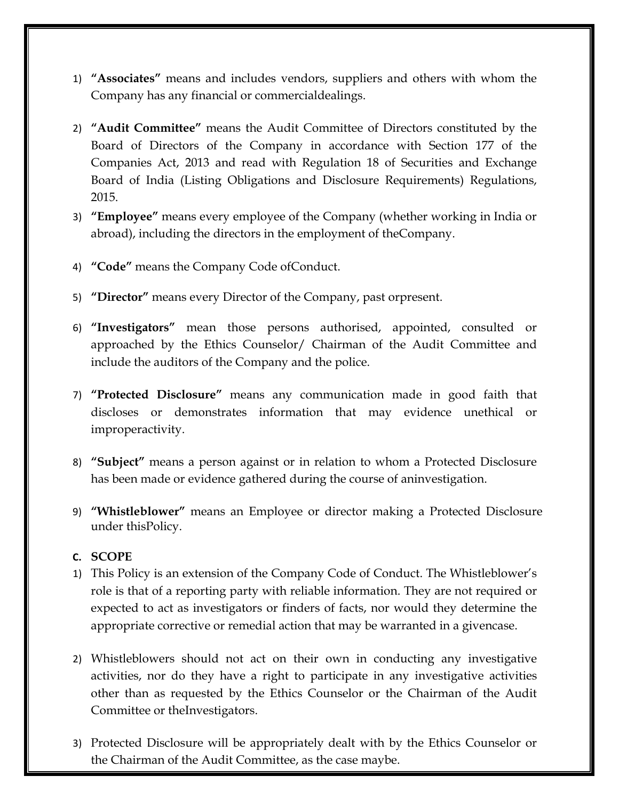- 1) **"Associates"** means and includes vendors, suppliers and others with whom the Company has any financial or commercialdealings.
- 2) **"Audit Committee"** means the Audit Committee of Directors constituted by the Board of Directors of the Company in accordance with Section 177 of the Companies Act, 2013 and read with Regulation 18 of Securities and Exchange Board of India (Listing Obligations and Disclosure Requirements) Regulations, 2015.
- 3) **"Employee"** means every employee of the Company (whether working in India or abroad), including the directors in the employment of theCompany.
- 4) **"Code"** means the Company Code ofConduct.
- 5) **"Director"** means every Director of the Company, past orpresent.
- 6) **"Investigators"** mean those persons authorised, appointed, consulted or approached by the Ethics Counselor/ Chairman of the Audit Committee and include the auditors of the Company and the police.
- 7) **"Protected Disclosure"** means any communication made in good faith that discloses or demonstrates information that may evidence unethical or improperactivity.
- 8) **"Subject"** means a person against or in relation to whom a Protected Disclosure has been made or evidence gathered during the course of aninvestigation.
- 9) **"Whistleblower"** means an Employee or director making a Protected Disclosure under thisPolicy.

# **C. SCOPE**

- 1) This Policy is an extension of the Company Code of Conduct. The Whistleblower's role is that of a reporting party with reliable information. They are not required or expected to act as investigators or finders of facts, nor would they determine the appropriate corrective or remedial action that may be warranted in a givencase.
- 2) Whistleblowers should not act on their own in conducting any investigative activities, nor do they have a right to participate in any investigative activities other than as requested by the Ethics Counselor or the Chairman of the Audit Committee or theInvestigators.
- 3) Protected Disclosure will be appropriately dealt with by the Ethics Counselor or the Chairman of the Audit Committee, as the case maybe.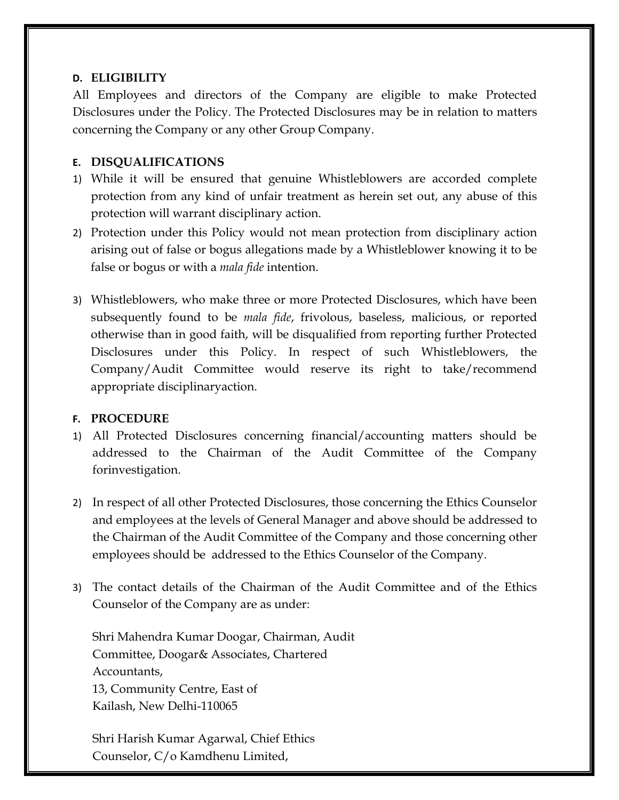## **D. ELIGIBILITY**

All Employees and directors of the Company are eligible to make Protected Disclosures under the Policy. The Protected Disclosures may be in relation to matters concerning the Company or any other Group Company.

# **E. DISQUALIFICATIONS**

- 1) While it will be ensured that genuine Whistleblowers are accorded complete protection from any kind of unfair treatment as herein set out, any abuse of this protection will warrant disciplinary action.
- 2) Protection under this Policy would not mean protection from disciplinary action arising out of false or bogus allegations made by a Whistleblower knowing it to be false or bogus or with a *mala fide* intention.
- 3) Whistleblowers, who make three or more Protected Disclosures, which have been subsequently found to be *mala fide*, frivolous, baseless, malicious, or reported otherwise than in good faith, will be disqualified from reporting further Protected Disclosures under this Policy. In respect of such Whistleblowers, the Company/Audit Committee would reserve its right to take/recommend appropriate disciplinaryaction.

### **F. PROCEDURE**

- 1) All Protected Disclosures concerning financial/accounting matters should be addressed to the Chairman of the Audit Committee of the Company forinvestigation.
- 2) In respect of all other Protected Disclosures, those concerning the Ethics Counselor and employees at the levels of General Manager and above should be addressed to the Chairman of the Audit Committee of the Company and those concerning other employees should be addressed to the Ethics Counselor of the Company.
- 3) The contact details of the Chairman of the Audit Committee and of the Ethics Counselor of the Company are as under:

Shri Mahendra Kumar Doogar, Chairman, Audit Committee, Doogar& Associates, Chartered Accountants, 13, Community Centre, East of Kailash, New Delhi-110065

Shri Harish Kumar Agarwal, Chief Ethics Counselor, C/o Kamdhenu Limited,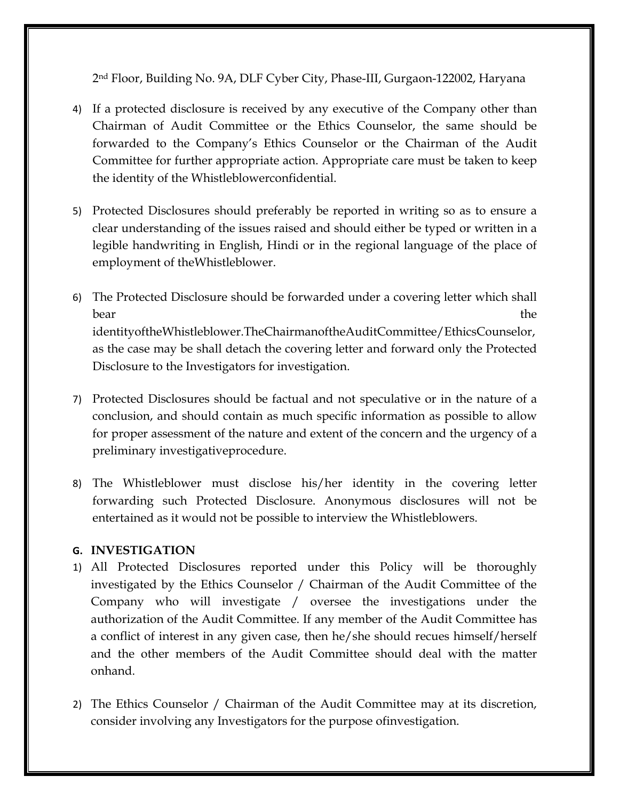2nd Floor, Building No. 9A, DLF Cyber City, Phase-III, Gurgaon-122002, Haryana

- 4) If a protected disclosure is received by any executive of the Company other than Chairman of Audit Committee or the Ethics Counselor, the same should be forwarded to the Company's Ethics Counselor or the Chairman of the Audit Committee for further appropriate action. Appropriate care must be taken to keep the identity of the Whistleblowerconfidential.
- 5) Protected Disclosures should preferably be reported in writing so as to ensure a clear understanding of the issues raised and should either be typed or written in a legible handwriting in English, Hindi or in the regional language of the place of employment of theWhistleblower.
- 6) The Protected Disclosure should be forwarded under a covering letter which shall bear the set of the set of the set of the set of the set of the set of the set of the set of the set of the set of the set of the set of the set of the set of the set of the set of the set of the set of the set of the set identityoftheWhistleblower.TheChairmanoftheAuditCommittee/EthicsCounselor, as the case may be shall detach the covering letter and forward only the Protected Disclosure to the Investigators for investigation.
- 7) Protected Disclosures should be factual and not speculative or in the nature of a conclusion, and should contain as much specific information as possible to allow for proper assessment of the nature and extent of the concern and the urgency of a preliminary investigativeprocedure.
- 8) The Whistleblower must disclose his/her identity in the covering letter forwarding such Protected Disclosure. Anonymous disclosures will not be entertained as it would not be possible to interview the Whistleblowers.

# **G. INVESTIGATION**

- 1) All Protected Disclosures reported under this Policy will be thoroughly investigated by the Ethics Counselor / Chairman of the Audit Committee of the Company who will investigate / oversee the investigations under the authorization of the Audit Committee. If any member of the Audit Committee has a conflict of interest in any given case, then he/she should recues himself/herself and the other members of the Audit Committee should deal with the matter onhand.
- 2) The Ethics Counselor / Chairman of the Audit Committee may at its discretion, consider involving any Investigators for the purpose ofinvestigation.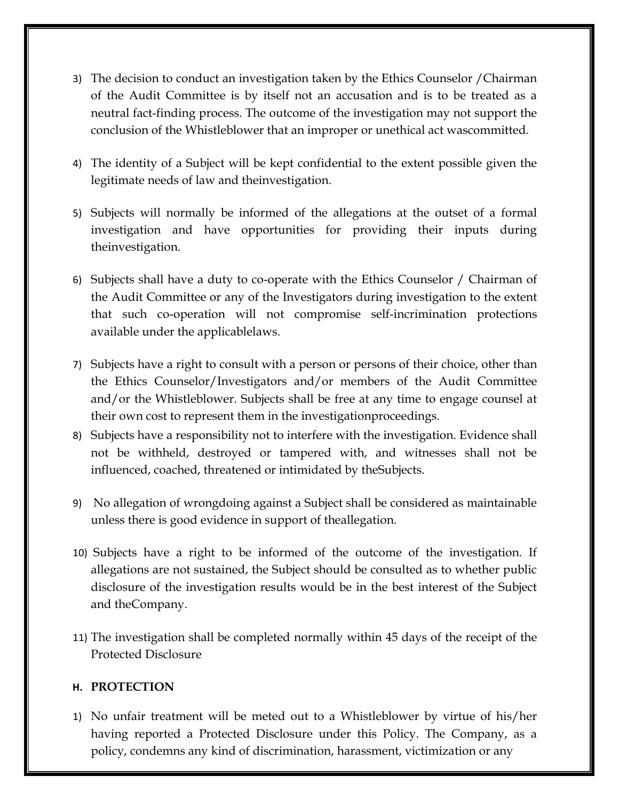- 3) The decision to conduct an investigation taken by the Ethics Counselor /Chairman of the Audit Committee is by itself not an accusation and is to be treated as a neutral fact-finding process. The outcome of the investigation may not support the conclusion of the Whistleblower that an improper or unethical act wascommitted.
- 4) The identity of a Subject will be kept confidential to the extent possible given the legitimate needs of law and theinvestigation.
- 5) Subjects will normally be informed of the allegations at the outset of a formal investigation and have opportunities for providing their inputs during theinvestigation.
- 6) Subjects shall have a duty to co-operate with the Ethics Counselor / Chairman of the Audit Committee or any of the Investigators during investigation to the extent that such co-operation will not compromise self-incrimination protections available under the applicablelaws.
- 7) Subjects have a right to consult with a person or persons of their choice, other than the Ethics Counselor/Investigators and/or members of the Audit Committee and/or the Whistleblower. Subjects shall be free at any time to engage counsel at their own cost to represent them in the investigationproceedings.
- 8) Subjects have a responsibility not to interfere with the investigation. Evidence shall not be withheld, destroyed or tampered with, and witnesses shall not be influenced, coached, threatened or intimidated by theSubjects.
- 9) No allegation of wrongdoing against a Subject shall be considered as maintainable unless there is good evidence in support of theallegation.
- 10) Subjects have a right to be informed of the outcome of the investigation. If allegations are not sustained, the Subject should be consulted as to whether public disclosure of the investigation results would be in the best interest of the Subject and theCompany.
- 11) The investigation shall be completed normally within 45 days of the receipt of the Protected Disclosure

### **H. PROTECTION**

1) No unfair treatment will be meted out to a Whistleblower by virtue of his/her having reported a Protected Disclosure under this Policy. The Company, as a policy, condemns any kind of discrimination, harassment, victimization or any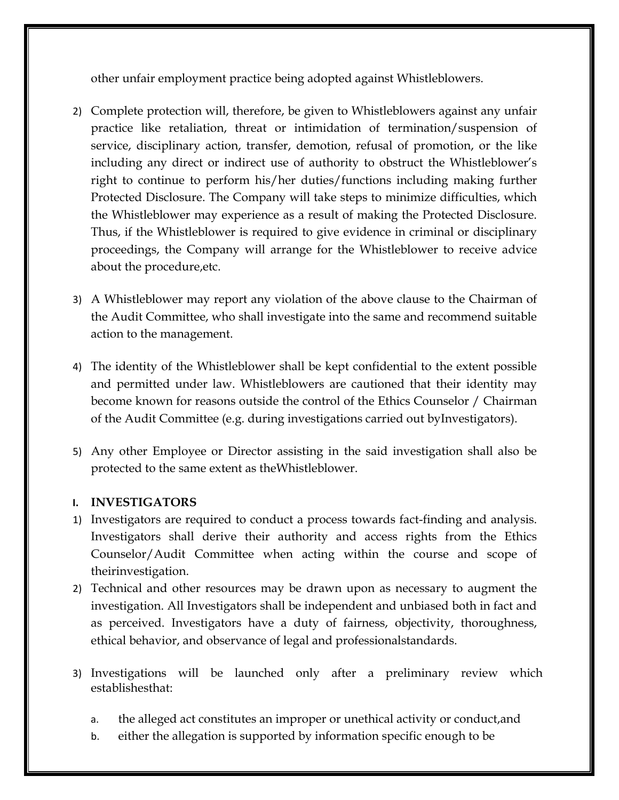other unfair employment practice being adopted against Whistleblowers.

- 2) Complete protection will, therefore, be given to Whistleblowers against any unfair practice like retaliation, threat or intimidation of termination/suspension of service, disciplinary action, transfer, demotion, refusal of promotion, or the like including any direct or indirect use of authority to obstruct the Whistleblower's right to continue to perform his/her duties/functions including making further Protected Disclosure. The Company will take steps to minimize difficulties, which the Whistleblower may experience as a result of making the Protected Disclosure. Thus, if the Whistleblower is required to give evidence in criminal or disciplinary proceedings, the Company will arrange for the Whistleblower to receive advice about the procedure,etc.
- 3) A Whistleblower may report any violation of the above clause to the Chairman of the Audit Committee, who shall investigate into the same and recommend suitable action to the management.
- 4) The identity of the Whistleblower shall be kept confidential to the extent possible and permitted under law. Whistleblowers are cautioned that their identity may become known for reasons outside the control of the Ethics Counselor / Chairman of the Audit Committee (e.g. during investigations carried out byInvestigators).
- 5) Any other Employee or Director assisting in the said investigation shall also be protected to the same extent as theWhistleblower.

### **I. INVESTIGATORS**

- 1) Investigators are required to conduct a process towards fact-finding and analysis. Investigators shall derive their authority and access rights from the Ethics Counselor/Audit Committee when acting within the course and scope of theirinvestigation.
- 2) Technical and other resources may be drawn upon as necessary to augment the investigation. All Investigators shall be independent and unbiased both in fact and as perceived. Investigators have a duty of fairness, objectivity, thoroughness, ethical behavior, and observance of legal and professionalstandards.
- 3) Investigations will be launched only after a preliminary review which establishesthat:
	- a. the alleged act constitutes an improper or unethical activity or conduct,and
	- b. either the allegation is supported by information specific enough to be